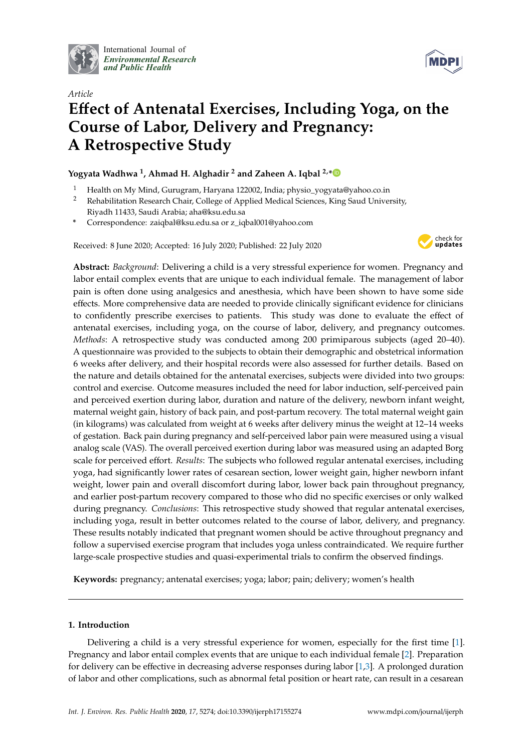

International Journal of *[Environmental Research](http://www.mdpi.com/journal/ijerph) and Public Health*



# *Article* **E**ff**ect of Antenatal Exercises, Including Yoga, on the Course of Labor, Delivery and Pregnancy: A Retrospective Study**

**Yogyata Wadhwa <sup>1</sup> , Ahmad H. Alghadir <sup>2</sup> and Zaheen A. Iqbal 2,[\\*](https://orcid.org/0000-0002-0504-6863)**

- <sup>1</sup> Health on My Mind, Gurugram, Haryana 122002, India; physio\_yogyata@yahoo.co.in
- <sup>2</sup> Rehabilitation Research Chair, College of Applied Medical Sciences, King Saud University, Riyadh 11433, Saudi Arabia; aha@ksu.edu.sa
- **\*** Correspondence: zaiqbal@ksu.edu.sa or z\_iqbal001@yahoo.com

Received: 8 June 2020; Accepted: 16 July 2020; Published: 22 July 2020



**Abstract:** *Background*: Delivering a child is a very stressful experience for women. Pregnancy and labor entail complex events that are unique to each individual female. The management of labor pain is often done using analgesics and anesthesia, which have been shown to have some side effects. More comprehensive data are needed to provide clinically significant evidence for clinicians to confidently prescribe exercises to patients. This study was done to evaluate the effect of antenatal exercises, including yoga, on the course of labor, delivery, and pregnancy outcomes. *Methods*: A retrospective study was conducted among 200 primiparous subjects (aged 20–40). A questionnaire was provided to the subjects to obtain their demographic and obstetrical information 6 weeks after delivery, and their hospital records were also assessed for further details. Based on the nature and details obtained for the antenatal exercises, subjects were divided into two groups: control and exercise. Outcome measures included the need for labor induction, self-perceived pain and perceived exertion during labor, duration and nature of the delivery, newborn infant weight, maternal weight gain, history of back pain, and post-partum recovery. The total maternal weight gain (in kilograms) was calculated from weight at 6 weeks after delivery minus the weight at 12–14 weeks of gestation. Back pain during pregnancy and self-perceived labor pain were measured using a visual analog scale (VAS). The overall perceived exertion during labor was measured using an adapted Borg scale for perceived effort. *Results*: The subjects who followed regular antenatal exercises, including yoga, had significantly lower rates of cesarean section, lower weight gain, higher newborn infant weight, lower pain and overall discomfort during labor, lower back pain throughout pregnancy, and earlier post-partum recovery compared to those who did no specific exercises or only walked during pregnancy. *Conclusions*: This retrospective study showed that regular antenatal exercises, including yoga, result in better outcomes related to the course of labor, delivery, and pregnancy. These results notably indicated that pregnant women should be active throughout pregnancy and follow a supervised exercise program that includes yoga unless contraindicated. We require further large-scale prospective studies and quasi-experimental trials to confirm the observed findings.

**Keywords:** pregnancy; antenatal exercises; yoga; labor; pain; delivery; women's health

## **1. Introduction**

Delivering a child is a very stressful experience for women, especially for the first time [\[1\]](#page-8-0). Pregnancy and labor entail complex events that are unique to each individual female [\[2\]](#page-8-1). Preparation for delivery can be effective in decreasing adverse responses during labor [\[1](#page-8-0)[,3\]](#page-8-2). A prolonged duration of labor and other complications, such as abnormal fetal position or heart rate, can result in a cesarean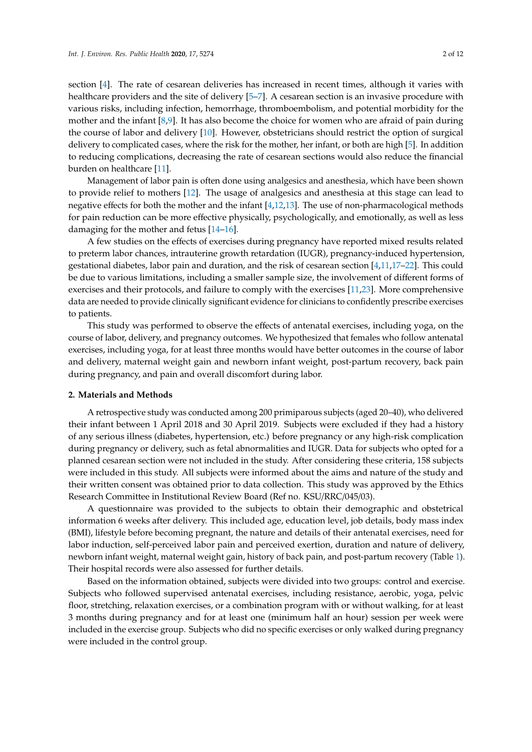section [\[4\]](#page-8-3). The rate of cesarean deliveries has increased in recent times, although it varies with healthcare providers and the site of delivery [\[5–](#page-8-4)[7\]](#page-8-5). A cesarean section is an invasive procedure with various risks, including infection, hemorrhage, thromboembolism, and potential morbidity for the mother and the infant [\[8](#page-8-6)[,9\]](#page-8-7). It has also become the choice for women who are afraid of pain during the course of labor and delivery [\[10\]](#page-8-8). However, obstetricians should restrict the option of surgical delivery to complicated cases, where the risk for the mother, her infant, or both are high [\[5\]](#page-8-4). In addition to reducing complications, decreasing the rate of cesarean sections would also reduce the financial burden on healthcare [\[11\]](#page-8-9).

Management of labor pain is often done using analgesics and anesthesia, which have been shown to provide relief to mothers [\[12\]](#page-8-10). The usage of analgesics and anesthesia at this stage can lead to negative effects for both the mother and the infant [\[4,](#page-8-3)[12,](#page-8-10)[13\]](#page-8-11). The use of non-pharmacological methods for pain reduction can be more effective physically, psychologically, and emotionally, as well as less damaging for the mother and fetus [\[14](#page-8-12)[–16\]](#page-9-0).

A few studies on the effects of exercises during pregnancy have reported mixed results related to preterm labor chances, intrauterine growth retardation (IUGR), pregnancy-induced hypertension, gestational diabetes, labor pain and duration, and the risk of cesarean section [\[4,](#page-8-3)[11,](#page-8-9)[17–](#page-9-1)[22\]](#page-9-2). This could be due to various limitations, including a smaller sample size, the involvement of different forms of exercises and their protocols, and failure to comply with the exercises [\[11](#page-8-9)[,23\]](#page-9-3). More comprehensive data are needed to provide clinically significant evidence for clinicians to confidently prescribe exercises to patients.

This study was performed to observe the effects of antenatal exercises, including yoga, on the course of labor, delivery, and pregnancy outcomes. We hypothesized that females who follow antenatal exercises, including yoga, for at least three months would have better outcomes in the course of labor and delivery, maternal weight gain and newborn infant weight, post-partum recovery, back pain during pregnancy, and pain and overall discomfort during labor.

## **2. Materials and Methods**

A retrospective study was conducted among 200 primiparous subjects (aged 20–40), who delivered their infant between 1 April 2018 and 30 April 2019. Subjects were excluded if they had a history of any serious illness (diabetes, hypertension, etc.) before pregnancy or any high-risk complication during pregnancy or delivery, such as fetal abnormalities and IUGR. Data for subjects who opted for a planned cesarean section were not included in the study. After considering these criteria, 158 subjects were included in this study. All subjects were informed about the aims and nature of the study and their written consent was obtained prior to data collection. This study was approved by the Ethics Research Committee in Institutional Review Board (Ref no. KSU/RRC/045/03).

A questionnaire was provided to the subjects to obtain their demographic and obstetrical information 6 weeks after delivery. This included age, education level, job details, body mass index (BMI), lifestyle before becoming pregnant, the nature and details of their antenatal exercises, need for labor induction, self-perceived labor pain and perceived exertion, duration and nature of delivery, newborn infant weight, maternal weight gain, history of back pain, and post-partum recovery (Table [1\)](#page-3-0). Their hospital records were also assessed for further details.

Based on the information obtained, subjects were divided into two groups: control and exercise. Subjects who followed supervised antenatal exercises, including resistance, aerobic, yoga, pelvic floor, stretching, relaxation exercises, or a combination program with or without walking, for at least 3 months during pregnancy and for at least one (minimum half an hour) session per week were included in the exercise group. Subjects who did no specific exercises or only walked during pregnancy were included in the control group.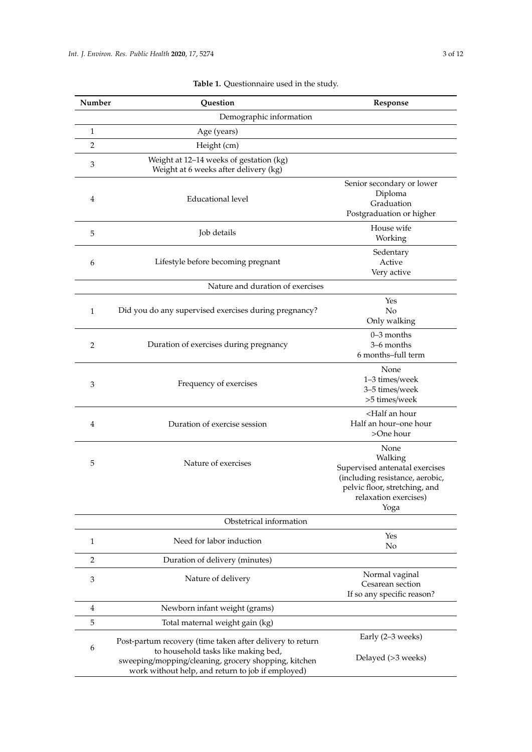| Number                  | Question                                                                                                                                                                                                      | Response                                                                                                                                               |  |  |
|-------------------------|---------------------------------------------------------------------------------------------------------------------------------------------------------------------------------------------------------------|--------------------------------------------------------------------------------------------------------------------------------------------------------|--|--|
|                         | Demographic information                                                                                                                                                                                       |                                                                                                                                                        |  |  |
| $\mathbf{1}$            | Age (years)                                                                                                                                                                                                   |                                                                                                                                                        |  |  |
| $\overline{2}$          | Height (cm)                                                                                                                                                                                                   |                                                                                                                                                        |  |  |
| 3                       | Weight at 12-14 weeks of gestation (kg)<br>Weight at 6 weeks after delivery (kg)                                                                                                                              |                                                                                                                                                        |  |  |
| 4                       | <b>Educational level</b>                                                                                                                                                                                      | Senior secondary or lower<br>Diploma<br>Graduation<br>Postgraduation or higher                                                                         |  |  |
| 5                       | Job details                                                                                                                                                                                                   | House wife<br>Working                                                                                                                                  |  |  |
| 6                       | Lifestyle before becoming pregnant                                                                                                                                                                            | Sedentary<br>Active<br>Very active                                                                                                                     |  |  |
|                         | Nature and duration of exercises                                                                                                                                                                              |                                                                                                                                                        |  |  |
| $\mathbf{1}$            | Did you do any supervised exercises during pregnancy?                                                                                                                                                         | Yes<br>No<br>Only walking                                                                                                                              |  |  |
| 2                       | Duration of exercises during pregnancy                                                                                                                                                                        | $0-3$ months<br>3–6 months<br>6 months-full term                                                                                                       |  |  |
| 3                       | Frequency of exercises                                                                                                                                                                                        | None<br>1-3 times/week<br>3-5 times/week<br>>5 times/week                                                                                              |  |  |
| 4                       | Duration of exercise session                                                                                                                                                                                  | <half an="" hour<br="">Half an hour-one hour<br/>&gt;One hour</half>                                                                                   |  |  |
| 5                       | Nature of exercises                                                                                                                                                                                           | None<br>Walking<br>Supervised antenatal exercises<br>(including resistance, aerobic,<br>pelvic floor, stretching, and<br>relaxation exercises)<br>Yoga |  |  |
| Obstetrical information |                                                                                                                                                                                                               |                                                                                                                                                        |  |  |
| $\mathbf{1}$            | Need for labor induction                                                                                                                                                                                      | Yes<br>No                                                                                                                                              |  |  |
| $\overline{2}$          | Duration of delivery (minutes)                                                                                                                                                                                |                                                                                                                                                        |  |  |
| 3                       | Nature of delivery                                                                                                                                                                                            | Normal vaginal<br>Cesarean section<br>If so any specific reason?                                                                                       |  |  |
| $\overline{4}$          | Newborn infant weight (grams)                                                                                                                                                                                 |                                                                                                                                                        |  |  |
| 5                       | Total maternal weight gain (kg)                                                                                                                                                                               |                                                                                                                                                        |  |  |
| 6                       | Post-partum recovery (time taken after delivery to return<br>to household tasks like making bed,<br>sweeping/mopping/cleaning, grocery shopping, kitchen<br>work without help, and return to job if employed) | Early (2-3 weeks)<br>Delayed (>3 weeks)                                                                                                                |  |  |

## **Table 1.** Questionnaire used in the study.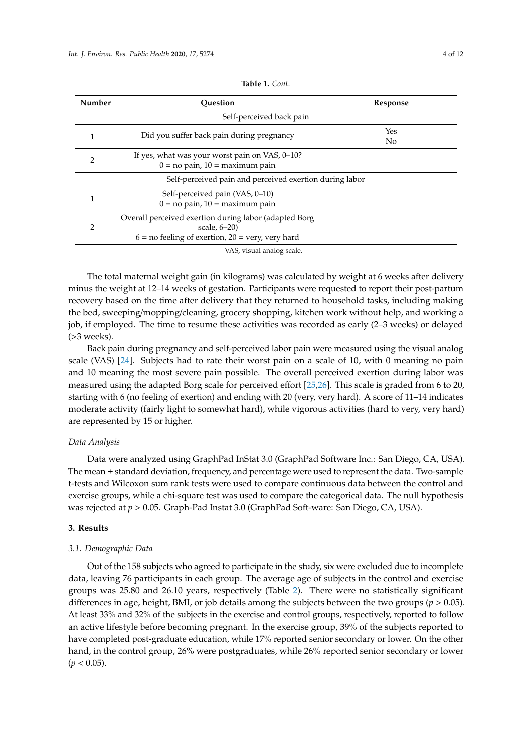<span id="page-3-0"></span>

| Number         | Ouestion                                                                                                                               | Response              |
|----------------|----------------------------------------------------------------------------------------------------------------------------------------|-----------------------|
|                | Self-perceived back pain                                                                                                               |                       |
|                | Did you suffer back pain during pregnancy                                                                                              | Yes<br>N <sub>o</sub> |
| 2              | If yes, what was your worst pain on VAS, 0–10?<br>$0 =$ no pain, $10 =$ maximum pain                                                   |                       |
|                | Self-perceived pain and perceived exertion during labor                                                                                |                       |
|                | Self-perceived pain (VAS, 0-10)<br>$0 =$ no pain, $10 =$ maximum pain                                                                  |                       |
| $\mathfrak{D}$ | Overall perceived exertion during labor (adapted Borg<br>scale, $6-20$<br>$6 = no$ feeling of exertion, $20 = \text{very}$ , very hard |                       |
|                | VAS, visual analog scale.                                                                                                              |                       |

| <b>Table 1.</b> Cont. |  |  |
|-----------------------|--|--|
|-----------------------|--|--|

The total maternal weight gain (in kilograms) was calculated by weight at 6 weeks after delivery minus the weight at 12–14 weeks of gestation. Participants were requested to report their post-partum recovery based on the time after delivery that they returned to household tasks, including making the bed, sweeping/mopping/cleaning, grocery shopping, kitchen work without help, and working a job, if employed. The time to resume these activities was recorded as early (2–3 weeks) or delayed (>3 weeks).

Back pain during pregnancy and self-perceived labor pain were measured using the visual analog scale (VAS) [\[24\]](#page-9-4). Subjects had to rate their worst pain on a scale of 10, with 0 meaning no pain and 10 meaning the most severe pain possible. The overall perceived exertion during labor was measured using the adapted Borg scale for perceived effort [\[25](#page-9-5)[,26\]](#page-9-6). This scale is graded from 6 to 20, starting with 6 (no feeling of exertion) and ending with 20 (very, very hard). A score of 11–14 indicates moderate activity (fairly light to somewhat hard), while vigorous activities (hard to very, very hard) are represented by 15 or higher.

## *Data Analysis*

Data were analyzed using GraphPad InStat 3.0 (GraphPad Software Inc.: San Diego, CA, USA). The mean ± standard deviation, frequency, and percentage were used to represent the data. Two-sample t-tests and Wilcoxon sum rank tests were used to compare continuous data between the control and exercise groups, while a chi-square test was used to compare the categorical data. The null hypothesis was rejected at *p* > 0.05. Graph-Pad Instat 3.0 (GraphPad Soft-ware: San Diego, CA, USA).

#### **3. Results**

#### *3.1. Demographic Data*

Out of the 158 subjects who agreed to participate in the study, six were excluded due to incomplete data, leaving 76 participants in each group. The average age of subjects in the control and exercise groups was 25.80 and 26.10 years, respectively (Table [2\)](#page-4-0). There were no statistically significant differences in age, height, BMI, or job details among the subjects between the two groups ( $p > 0.05$ ). At least 33% and 32% of the subjects in the exercise and control groups, respectively, reported to follow an active lifestyle before becoming pregnant. In the exercise group, 39% of the subjects reported to have completed post-graduate education, while 17% reported senior secondary or lower. On the other hand, in the control group, 26% were postgraduates, while 26% reported senior secondary or lower  $(p < 0.05)$ .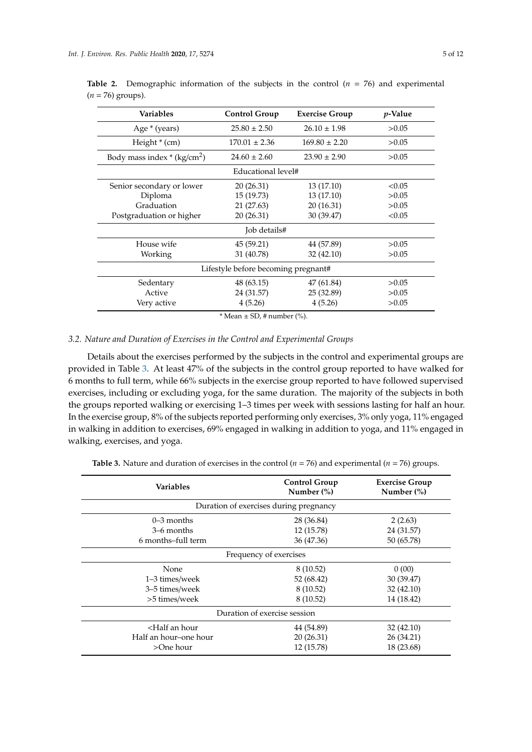| <b>Variables</b>                    | <b>Control Group</b> | <b>Exercise Group</b> | <i>p</i> -Value |
|-------------------------------------|----------------------|-----------------------|-----------------|
| Age * (years)                       | $25.80 \pm 2.50$     | $26.10 \pm 1.98$      | >0.05           |
| Height $*(cm)$                      | $170.01 \pm 2.36$    | $169.80 \pm 2.20$     | >0.05           |
| Body mass index $*(kg/cm2)$         | $24.60 \pm 2.60$     | $23.90 \pm 2.90$      | >0.05           |
|                                     | Educational level#   |                       |                 |
| Senior secondary or lower           | 20(26.31)            | 13(17.10)             | < 0.05          |
| Diploma                             | 15(19.73)            | 13(17.10)             | >0.05           |
| Graduation                          | 21 (27.63)           | 20 (16.31)            | >0.05           |
| Postgraduation or higher            | 20(26.31)            | 30 (39.47)            | < 0.05          |
| Job details#                        |                      |                       |                 |
| House wife                          | 45 (59.21)           | 44 (57.89)            | >0.05           |
| Working                             | 31 (40.78)           | 32 (42.10)            | >0.05           |
| Lifestyle before becoming pregnant# |                      |                       |                 |
| Sedentary                           | 48 (63.15)           | 47 (61.84)            | >0.05           |
| Active                              | 24 (31.57)           | 25 (32.89)            | >0.05           |
| Very active                         | 4(5.26)              | 4(5.26)               | >0.05           |

<span id="page-4-0"></span>**Table 2.** Demographic information of the subjects in the control  $(n = 76)$  and experimental  $(n = 76)$  groups).

 $*$  Mean  $\pm$  SD, # number (%).

## *3.2. Nature and Duration of Exercises in the Control and Experimental Groups*

Details about the exercises performed by the subjects in the control and experimental groups are provided in Table [3.](#page-5-0) At least 47% of the subjects in the control group reported to have walked for 6 months to full term, while 66% subjects in the exercise group reported to have followed supervised exercises, including or excluding yoga, for the same duration. The majority of the subjects in both the groups reported walking or exercising 1–3 times per week with sessions lasting for half an hour. In the exercise group, 8% of the subjects reported performing only exercises, 3% only yoga, 11% engaged in walking in addition to exercises, 69% engaged in walking in addition to yoga, and 11% engaged in walking, exercises, and yoga.

| <b>Variables</b>                                                         | <b>Control Group</b><br>Number $(\%)$  | <b>Exercise Group</b><br>Number $(\%)$ |  |
|--------------------------------------------------------------------------|----------------------------------------|----------------------------------------|--|
|                                                                          | Duration of exercises during pregnancy |                                        |  |
| $0-3$ months                                                             | 28 (36.84)                             | 2(2.63)                                |  |
| 3–6 months                                                               | 12 (15.78)                             | 24 (31.57)                             |  |
| 6 months-full term                                                       | 36 (47.36)                             | 50 (65.78)                             |  |
|                                                                          | Frequency of exercises                 |                                        |  |
| None                                                                     | 8(10.52)                               | 0(00)                                  |  |
| 1–3 times/week                                                           | 52 (68.42)                             | 30 (39.47)                             |  |
| 3–5 times/week                                                           | 8(10.52)                               | 32(42.10)                              |  |
| >5 times/week                                                            | 8(10.52)                               | 14 (18.42)                             |  |
| Duration of exercise session                                             |                                        |                                        |  |
| <half an="" hour<="" td=""><td>44 (54.89)</td><td>32 (42.10)</td></half> | 44 (54.89)                             | 32 (42.10)                             |  |
| Half an hour-one hour                                                    | 20 (26.31)                             | 26 (34.21)                             |  |
| >One hour                                                                | 12 (15.78)                             | 18 (23.68)                             |  |

**Table 3.** Nature and duration of exercises in the control ( $n = 76$ ) and experimental ( $n = 76$ ) groups.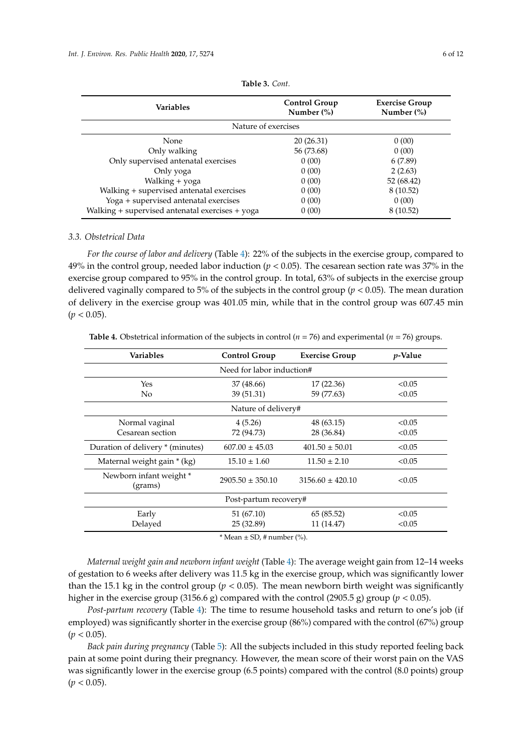<span id="page-5-0"></span>

| <b>Variables</b>                                | <b>Control Group</b><br>Number $(\%)$ | <b>Exercise Group</b><br>Number $(\%)$ |  |  |
|-------------------------------------------------|---------------------------------------|----------------------------------------|--|--|
|                                                 | Nature of exercises                   |                                        |  |  |
| None                                            | 20(26.31)                             | 0(00)                                  |  |  |
| Only walking                                    | 56 (73.68)                            | 0(00)                                  |  |  |
| Only supervised antenatal exercises             | 0(00)                                 | 6(7.89)                                |  |  |
| Only yoga                                       | 0(00)                                 | 2(2.63)                                |  |  |
| Walking + yoga                                  | 0(00)                                 | 52 (68.42)                             |  |  |
| Walking + supervised antenatal exercises        | 0(00)                                 | 8 (10.52)                              |  |  |
| Yoga + supervised antenatal exercises           | 0(00)                                 | 0(00)                                  |  |  |
| Walking + supervised antenatal exercises + yoga | 0(00)                                 | 8 (10.52)                              |  |  |

**Table 3.** *Cont.*

#### *3.3. Obstetrical Data*

*For the course of labor and delivery* (Table [4\)](#page-5-1): 22% of the subjects in the exercise group, compared to 49% in the control group, needed labor induction (*p* < 0.05). The cesarean section rate was 37% in the exercise group compared to 95% in the control group. In total, 63% of subjects in the exercise group delivered vaginally compared to 5% of the subjects in the control group (*p* < 0.05). The mean duration of delivery in the exercise group was 401.05 min, while that in the control group was 607.45 min  $(p < 0.05)$ .

| <b>Variables</b>                  | <b>Control Group</b> | <b>Exercise Group</b> | <i>p</i> -Value |
|-----------------------------------|----------------------|-----------------------|-----------------|
| Need for labor induction#         |                      |                       |                 |
| Yes                               | 37 (48.66)           | 17(22.36)             | < 0.05          |
| N <sub>0</sub>                    | 39 (51.31)           | 59 (77.63)            | < 0.05          |
|                                   | Nature of delivery#  |                       |                 |
| Normal vaginal                    | 4(5.26)              | 48(63.15)             | < 0.05          |
| Cesarean section                  | 72 (94.73)           | 28 (36.84)            | < 0.05          |
| Duration of delivery * (minutes)  | $607.00 \pm 45.03$   | $401.50 \pm 50.01$    | < 0.05          |
| Maternal weight gain * (kg)       | $15.10 \pm 1.60$     | $11.50 \pm 2.10$      | < 0.05          |
| Newborn infant weight*<br>(grams) | $2905.50 \pm 350.10$ | $3156.60 \pm 420.10$  | < 0.05          |
| Post-partum recovery#             |                      |                       |                 |
| Early                             | 51(67.10)            | 65 (85.52)            | < 0.05          |
| Delayed                           | 25 (32.89)           | 11 (14.47)            | < 0.05          |

<span id="page-5-1"></span>**Table 4.** Obstetrical information of the subjects in control ( $n = 76$ ) and experimental ( $n = 76$ ) groups.

 $*$  Mean  $\pm$  SD, # number (%).

*Maternal weight gain and newborn infant weight* (Table [4\)](#page-5-1): The average weight gain from 12–14 weeks of gestation to 6 weeks after delivery was 11.5 kg in the exercise group, which was significantly lower than the 15.1 kg in the control group ( $p < 0.05$ ). The mean newborn birth weight was significantly higher in the exercise group (3156.6 g) compared with the control (2905.5 g) group ( $p < 0.05$ ).

*Post-partum recovery* (Table [4\)](#page-5-1): The time to resume household tasks and return to one's job (if employed) was significantly shorter in the exercise group (86%) compared with the control (67%) group  $(p < 0.05)$ .

*Back pain during pregnancy* (Table [5\)](#page-6-0): All the subjects included in this study reported feeling back pain at some point during their pregnancy. However, the mean score of their worst pain on the VAS was significantly lower in the exercise group (6.5 points) compared with the control (8.0 points) group  $(p < 0.05)$ .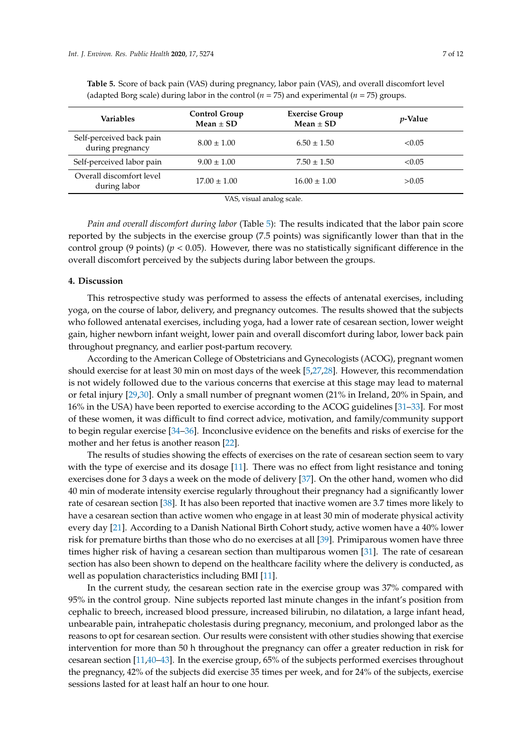| Variables                                    | <b>Control Group</b><br>Mean $\pm$ SD | <b>Exercise Group</b><br>Mean $\pm$ SD | <i>p</i> -Value |
|----------------------------------------------|---------------------------------------|----------------------------------------|-----------------|
| Self-perceived back pain<br>during pregnancy | $8.00 \pm 1.00$                       | $6.50 \pm 1.50$                        | < 0.05          |
| Self-perceived labor pain                    | $9.00 \pm 1.00$                       | $7.50 \pm 1.50$                        | < 0.05          |
| Overall discomfort level<br>during labor     | $17.00 \pm 1.00$                      | $16.00 \pm 1.00$                       | >0.05           |
|                                              |                                       |                                        |                 |

<span id="page-6-0"></span>**Table 5.** Score of back pain (VAS) during pregnancy, labor pain (VAS), and overall discomfort level (adapted Borg scale) during labor in the control  $(n = 75)$  and experimental  $(n = 75)$  groups.

VAS, visual analog scale.

*Pain and overall discomfort during labor* (Table [5\)](#page-6-0): The results indicated that the labor pain score reported by the subjects in the exercise group (7.5 points) was significantly lower than that in the control group (9 points) ( $p < 0.05$ ). However, there was no statistically significant difference in the overall discomfort perceived by the subjects during labor between the groups.

## **4. Discussion**

This retrospective study was performed to assess the effects of antenatal exercises, including yoga, on the course of labor, delivery, and pregnancy outcomes. The results showed that the subjects who followed antenatal exercises, including yoga, had a lower rate of cesarean section, lower weight gain, higher newborn infant weight, lower pain and overall discomfort during labor, lower back pain throughout pregnancy, and earlier post-partum recovery.

According to the American College of Obstetricians and Gynecologists (ACOG), pregnant women should exercise for at least 30 min on most days of the week [\[5](#page-8-4)[,27](#page-9-7)[,28\]](#page-9-8). However, this recommendation is not widely followed due to the various concerns that exercise at this stage may lead to maternal or fetal injury [\[29](#page-9-9)[,30\]](#page-9-10). Only a small number of pregnant women (21% in Ireland, 20% in Spain, and 16% in the USA) have been reported to exercise according to the ACOG guidelines [\[31](#page-9-11)[–33\]](#page-9-12). For most of these women, it was difficult to find correct advice, motivation, and family/community support to begin regular exercise [\[34–](#page-9-13)[36\]](#page-9-14). Inconclusive evidence on the benefits and risks of exercise for the mother and her fetus is another reason [\[22\]](#page-9-2).

The results of studies showing the effects of exercises on the rate of cesarean section seem to vary with the type of exercise and its dosage [\[11\]](#page-8-9). There was no effect from light resistance and toning exercises done for 3 days a week on the mode of delivery [\[37\]](#page-10-0). On the other hand, women who did 40 min of moderate intensity exercise regularly throughout their pregnancy had a significantly lower rate of cesarean section [\[38\]](#page-10-1). It has also been reported that inactive women are 3.7 times more likely to have a cesarean section than active women who engage in at least 30 min of moderate physical activity every day [\[21\]](#page-9-15). According to a Danish National Birth Cohort study, active women have a 40% lower risk for premature births than those who do no exercises at all [\[39\]](#page-10-2). Primiparous women have three times higher risk of having a cesarean section than multiparous women [\[31\]](#page-9-11). The rate of cesarean section has also been shown to depend on the healthcare facility where the delivery is conducted, as well as population characteristics including BMI [\[11\]](#page-8-9).

In the current study, the cesarean section rate in the exercise group was 37% compared with 95% in the control group. Nine subjects reported last minute changes in the infant's position from cephalic to breech, increased blood pressure, increased bilirubin, no dilatation, a large infant head, unbearable pain, intrahepatic cholestasis during pregnancy, meconium, and prolonged labor as the reasons to opt for cesarean section. Our results were consistent with other studies showing that exercise intervention for more than 50 h throughout the pregnancy can offer a greater reduction in risk for cesarean section [\[11](#page-8-9)[,40–](#page-10-3)[43\]](#page-10-4). In the exercise group, 65% of the subjects performed exercises throughout the pregnancy, 42% of the subjects did exercise 35 times per week, and for 24% of the subjects, exercise sessions lasted for at least half an hour to one hour.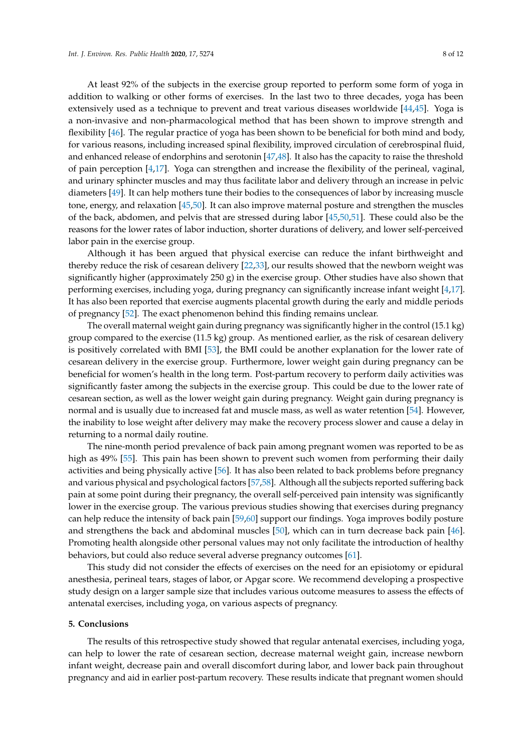At least 92% of the subjects in the exercise group reported to perform some form of yoga in addition to walking or other forms of exercises. In the last two to three decades, yoga has been extensively used as a technique to prevent and treat various diseases worldwide [\[44,](#page-10-5)[45\]](#page-10-6). Yoga is a non-invasive and non-pharmacological method that has been shown to improve strength and flexibility [\[46\]](#page-10-7). The regular practice of yoga has been shown to be beneficial for both mind and body, for various reasons, including increased spinal flexibility, improved circulation of cerebrospinal fluid, and enhanced release of endorphins and serotonin [\[47,](#page-10-8)[48\]](#page-10-9). It also has the capacity to raise the threshold of pain perception [\[4,](#page-8-3)[17\]](#page-9-1). Yoga can strengthen and increase the flexibility of the perineal, vaginal, and urinary sphincter muscles and may thus facilitate labor and delivery through an increase in pelvic diameters [\[49\]](#page-10-10). It can help mothers tune their bodies to the consequences of labor by increasing muscle tone, energy, and relaxation [\[45](#page-10-6)[,50\]](#page-10-11). It can also improve maternal posture and strengthen the muscles of the back, abdomen, and pelvis that are stressed during labor [\[45,](#page-10-6)[50](#page-10-11)[,51\]](#page-10-12). These could also be the reasons for the lower rates of labor induction, shorter durations of delivery, and lower self-perceived labor pain in the exercise group.

Although it has been argued that physical exercise can reduce the infant birthweight and thereby reduce the risk of cesarean delivery [\[22](#page-9-2)[,33\]](#page-9-12), our results showed that the newborn weight was significantly higher (approximately  $250$  g) in the exercise group. Other studies have also shown that performing exercises, including yoga, during pregnancy can significantly increase infant weight [\[4](#page-8-3)[,17\]](#page-9-1). It has also been reported that exercise augments placental growth during the early and middle periods of pregnancy [\[52\]](#page-10-13). The exact phenomenon behind this finding remains unclear.

The overall maternal weight gain during pregnancy was significantly higher in the control (15.1 kg) group compared to the exercise (11.5 kg) group. As mentioned earlier, as the risk of cesarean delivery is positively correlated with BMI [\[53\]](#page-10-14), the BMI could be another explanation for the lower rate of cesarean delivery in the exercise group. Furthermore, lower weight gain during pregnancy can be beneficial for women's health in the long term. Post-partum recovery to perform daily activities was significantly faster among the subjects in the exercise group. This could be due to the lower rate of cesarean section, as well as the lower weight gain during pregnancy. Weight gain during pregnancy is normal and is usually due to increased fat and muscle mass, as well as water retention [\[54\]](#page-10-15). However, the inability to lose weight after delivery may make the recovery process slower and cause a delay in returning to a normal daily routine.

The nine-month period prevalence of back pain among pregnant women was reported to be as high as 49% [\[55\]](#page-10-16). This pain has been shown to prevent such women from performing their daily activities and being physically active [\[56\]](#page-10-17). It has also been related to back problems before pregnancy and various physical and psychological factors [\[57](#page-10-18)[,58\]](#page-10-19). Although all the subjects reported suffering back pain at some point during their pregnancy, the overall self-perceived pain intensity was significantly lower in the exercise group. The various previous studies showing that exercises during pregnancy can help reduce the intensity of back pain [\[59,](#page-10-20)[60\]](#page-11-0) support our findings. Yoga improves bodily posture and strengthens the back and abdominal muscles [\[50\]](#page-10-11), which can in turn decrease back pain [\[46\]](#page-10-7). Promoting health alongside other personal values may not only facilitate the introduction of healthy behaviors, but could also reduce several adverse pregnancy outcomes [\[61\]](#page-11-1).

This study did not consider the effects of exercises on the need for an episiotomy or epidural anesthesia, perineal tears, stages of labor, or Apgar score. We recommend developing a prospective study design on a larger sample size that includes various outcome measures to assess the effects of antenatal exercises, including yoga, on various aspects of pregnancy.

#### **5. Conclusions**

The results of this retrospective study showed that regular antenatal exercises, including yoga, can help to lower the rate of cesarean section, decrease maternal weight gain, increase newborn infant weight, decrease pain and overall discomfort during labor, and lower back pain throughout pregnancy and aid in earlier post-partum recovery. These results indicate that pregnant women should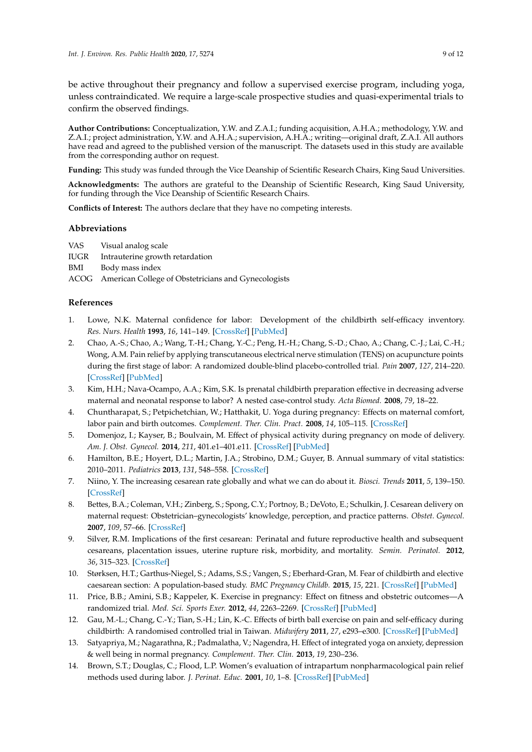be active throughout their pregnancy and follow a supervised exercise program, including yoga, unless contraindicated. We require a large-scale prospective studies and quasi-experimental trials to confirm the observed findings.

**Author Contributions:** Conceptualization, Y.W. and Z.A.I.; funding acquisition, A.H.A.; methodology, Y.W. and Z.A.I.; project administration, Y.W. and A.H.A.; supervision, A.H.A.; writing—original draft, Z.A.I. All authors have read and agreed to the published version of the manuscript. The datasets used in this study are available from the corresponding author on request.

**Funding:** This study was funded through the Vice Deanship of Scientific Research Chairs, King Saud Universities.

**Acknowledgments:** The authors are grateful to the Deanship of Scientific Research, King Saud University, for funding through the Vice Deanship of Scientific Research Chairs.

**Conflicts of Interest:** The authors declare that they have no competing interests.

## **Abbreviations**

VAS Visual analog scale

IUGR Intrauterine growth retardation

BMI Body mass index

ACOG American College of Obstetricians and Gynecologists

## **References**

- <span id="page-8-0"></span>1. Lowe, N.K. Maternal confidence for labor: Development of the childbirth self-efficacy inventory. *Res. Nurs. Health* **1993**, *16*, 141–149. [\[CrossRef\]](http://dx.doi.org/10.1002/nur.4770160209) [\[PubMed\]](http://www.ncbi.nlm.nih.gov/pubmed/8502766)
- <span id="page-8-1"></span>2. Chao, A.-S.; Chao, A.; Wang, T.-H.; Chang, Y.-C.; Peng, H.-H.; Chang, S.-D.; Chao, A.; Chang, C.-J.; Lai, C.-H.; Wong, A.M. Pain relief by applying transcutaneous electrical nerve stimulation (TENS) on acupuncture points during the first stage of labor: A randomized double-blind placebo-controlled trial. *Pain* **2007**, *127*, 214–220. [\[CrossRef\]](http://dx.doi.org/10.1016/j.pain.2006.08.016) [\[PubMed\]](http://www.ncbi.nlm.nih.gov/pubmed/17030438)
- <span id="page-8-2"></span>3. Kim, H.H.; Nava-Ocampo, A.A.; Kim, S.K. Is prenatal childbirth preparation effective in decreasing adverse maternal and neonatal response to labor? A nested case-control study. *Acta Biomed.* **2008**, *79*, 18–22.
- <span id="page-8-3"></span>4. Chuntharapat, S.; Petpichetchian, W.; Hatthakit, U. Yoga during pregnancy: Effects on maternal comfort, labor pain and birth outcomes. *Complement. Ther. Clin. Pract.* **2008**, *14*, 105–115. [\[CrossRef\]](http://dx.doi.org/10.1016/j.ctcp.2007.12.007)
- <span id="page-8-4"></span>5. Domenjoz, I.; Kayser, B.; Boulvain, M. Effect of physical activity during pregnancy on mode of delivery. *Am. J. Obst. Gynecol.* **2014**, *211*, 401.e1–401.e11. [\[CrossRef\]](http://dx.doi.org/10.1016/j.ajog.2014.03.030) [\[PubMed\]](http://www.ncbi.nlm.nih.gov/pubmed/24631706)
- 6. Hamilton, B.E.; Hoyert, D.L.; Martin, J.A.; Strobino, D.M.; Guyer, B. Annual summary of vital statistics: 2010–2011. *Pediatrics* **2013**, *131*, 548–558. [\[CrossRef\]](http://dx.doi.org/10.1542/peds.2012-3769)
- <span id="page-8-5"></span>7. Niino, Y. The increasing cesarean rate globally and what we can do about it. *Biosci. Trends* **2011**, *5*, 139–150. [\[CrossRef\]](http://dx.doi.org/10.5582/bst.2011.v5.4.139)
- <span id="page-8-6"></span>8. Bettes, B.A.; Coleman, V.H.; Zinberg, S.; Spong, C.Y.; Portnoy, B.; DeVoto, E.; Schulkin, J. Cesarean delivery on maternal request: Obstetrician–gynecologists' knowledge, perception, and practice patterns. *Obstet. Gynecol.* **2007**, *109*, 57–66. [\[CrossRef\]](http://dx.doi.org/10.1097/01.AOG.0000249608.11864.b6)
- <span id="page-8-7"></span>9. Silver, R.M. Implications of the first cesarean: Perinatal and future reproductive health and subsequent cesareans, placentation issues, uterine rupture risk, morbidity, and mortality. *Semin. Perinatol.* **2012**, *36*, 315–323. [\[CrossRef\]](http://dx.doi.org/10.1053/j.semperi.2012.04.013)
- <span id="page-8-8"></span>10. Størksen, H.T.; Garthus-Niegel, S.; Adams, S.S.; Vangen, S.; Eberhard-Gran, M. Fear of childbirth and elective caesarean section: A population-based study. *BMC Pregnancy Childb.* **2015**, *15*, 221. [\[CrossRef\]](http://dx.doi.org/10.1186/s12884-015-0655-4) [\[PubMed\]](http://www.ncbi.nlm.nih.gov/pubmed/26382746)
- <span id="page-8-9"></span>11. Price, B.B.; Amini, S.B.; Kappeler, K. Exercise in pregnancy: Effect on fitness and obstetric outcomes—A randomized trial. *Med. Sci. Sports Exer.* **2012**, *44*, 2263–2269. [\[CrossRef\]](http://dx.doi.org/10.1249/MSS.0b013e318267ad67) [\[PubMed\]](http://www.ncbi.nlm.nih.gov/pubmed/22843114)
- <span id="page-8-10"></span>12. Gau, M.-L.; Chang, C.-Y.; Tian, S.-H.; Lin, K.-C. Effects of birth ball exercise on pain and self-efficacy during childbirth: A randomised controlled trial in Taiwan. *Midwifery* **2011**, *27*, e293–e300. [\[CrossRef\]](http://dx.doi.org/10.1016/j.midw.2011.02.004) [\[PubMed\]](http://www.ncbi.nlm.nih.gov/pubmed/21459499)
- <span id="page-8-11"></span>13. Satyapriya, M.; Nagarathna, R.; Padmalatha, V.; Nagendra, H. Effect of integrated yoga on anxiety, depression & well being in normal pregnancy. *Complement. Ther. Clin.* **2013**, *19*, 230–236.
- <span id="page-8-12"></span>14. Brown, S.T.; Douglas, C.; Flood, L.P. Women's evaluation of intrapartum nonpharmacological pain relief methods used during labor. *J. Perinat. Educ.* **2001**, *10*, 1–8. [\[CrossRef\]](http://dx.doi.org/10.1624/105812401X88273) [\[PubMed\]](http://www.ncbi.nlm.nih.gov/pubmed/17273260)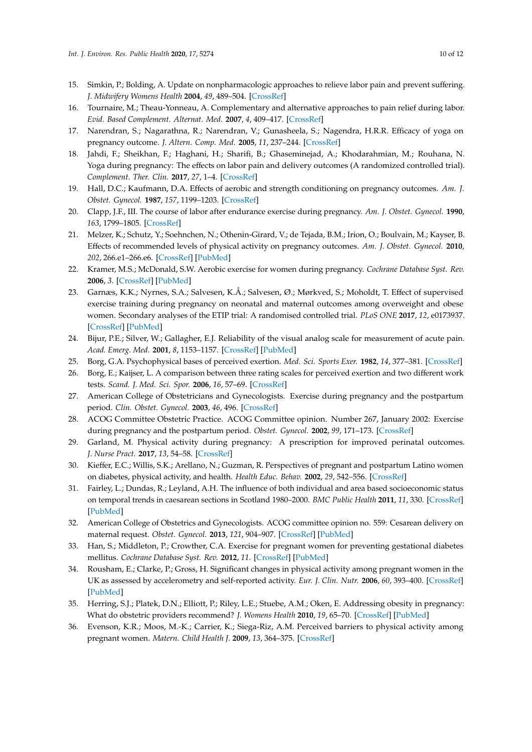- 15. Simkin, P.; Bolding, A. Update on nonpharmacologic approaches to relieve labor pain and prevent suffering. *J. Midwifery Womens Health* **2004**, *49*, 489–504. [\[CrossRef\]](http://dx.doi.org/10.1016/j.jmwh.2004.07.007)
- <span id="page-9-0"></span>16. Tournaire, M.; Theau-Yonneau, A. Complementary and alternative approaches to pain relief during labor. *Evid. Based Complement. Alternat. Med.* **2007**, *4*, 409–417. [\[CrossRef\]](http://dx.doi.org/10.1093/ecam/nem012)
- <span id="page-9-1"></span>17. Narendran, S.; Nagarathna, R.; Narendran, V.; Gunasheela, S.; Nagendra, H.R.R. Efficacy of yoga on pregnancy outcome. *J. Altern. Comp. Med.* **2005**, *11*, 237–244. [\[CrossRef\]](http://dx.doi.org/10.1089/acm.2005.11.237)
- 18. Jahdi, F.; Sheikhan, F.; Haghani, H.; Sharifi, B.; Ghaseminejad, A.; Khodarahmian, M.; Rouhana, N. Yoga during pregnancy: The effects on labor pain and delivery outcomes (A randomized controlled trial). *Complement. Ther. Clin.* **2017**, *27*, 1–4. [\[CrossRef\]](http://dx.doi.org/10.1016/j.ctcp.2016.12.002)
- 19. Hall, D.C.; Kaufmann, D.A. Effects of aerobic and strength conditioning on pregnancy outcomes. *Am. J. Obstet. Gynecol.* **1987**, *157*, 1199–1203. [\[CrossRef\]](http://dx.doi.org/10.1016/S0002-9378(87)80294-6)
- 20. Clapp, J.F., III. The course of labor after endurance exercise during pregnancy. *Am. J. Obstet. Gynecol.* **1990**, *163*, 1799–1805. [\[CrossRef\]](http://dx.doi.org/10.1016/0002-9378(90)90753-T)
- <span id="page-9-15"></span>21. Melzer, K.; Schutz, Y.; Soehnchen, N.; Othenin-Girard, V.; de Tejada, B.M.; Irion, O.; Boulvain, M.; Kayser, B. Effects of recommended levels of physical activity on pregnancy outcomes. *Am. J. Obstet. Gynecol.* **2010**, *202*, 266.e1–266.e6. [\[CrossRef\]](http://dx.doi.org/10.1016/j.ajog.2009.10.876) [\[PubMed\]](http://www.ncbi.nlm.nih.gov/pubmed/20022583)
- <span id="page-9-2"></span>22. Kramer, M.S.; McDonald, S.W. Aerobic exercise for women during pregnancy. *Cochrane Database Syst. Rev.* **2006**, *3*. [\[CrossRef\]](http://dx.doi.org/10.1002/14651858.CD000180.pub2) [\[PubMed\]](http://www.ncbi.nlm.nih.gov/pubmed/16855953)
- <span id="page-9-3"></span>23. Garnæs, K.K.; Nyrnes, S.A.; Salvesen, K.Å.; Salvesen, Ø.; Mørkved, S.; Moholdt, T. Effect of supervised exercise training during pregnancy on neonatal and maternal outcomes among overweight and obese women. Secondary analyses of the ETIP trial: A randomised controlled trial. *PLoS ONE* **2017**, *12*, e0173937. [\[CrossRef\]](http://dx.doi.org/10.1371/journal.pone.0173937) [\[PubMed\]](http://www.ncbi.nlm.nih.gov/pubmed/28323893)
- <span id="page-9-4"></span>24. Bijur, P.E.; Silver, W.; Gallagher, E.J. Reliability of the visual analog scale for measurement of acute pain. *Acad. Emerg. Med.* **2001**, *8*, 1153–1157. [\[CrossRef\]](http://dx.doi.org/10.1111/j.1553-2712.2001.tb01132.x) [\[PubMed\]](http://www.ncbi.nlm.nih.gov/pubmed/11733293)
- <span id="page-9-5"></span>25. Borg, G.A. Psychophysical bases of perceived exertion. *Med. Sci. Sports Exer.* **1982**, *14*, 377–381. [\[CrossRef\]](http://dx.doi.org/10.1249/00005768-198205000-00012)
- <span id="page-9-6"></span>26. Borg, E.; Kaijser, L. A comparison between three rating scales for perceived exertion and two different work tests. *Scand. J. Med. Sci. Spor.* **2006**, *16*, 57–69. [\[CrossRef\]](http://dx.doi.org/10.1111/j.1600-0838.2005.00448.x)
- <span id="page-9-7"></span>27. American College of Obstetricians and Gynecologists. Exercise during pregnancy and the postpartum period. *Clin. Obstet. Gynecol.* **2003**, *46*, 496. [\[CrossRef\]](http://dx.doi.org/10.1097/00003081-200306000-00028)
- <span id="page-9-8"></span>28. ACOG Committee Obstetric Practice. ACOG Committee opinion. Number 267, January 2002: Exercise during pregnancy and the postpartum period. *Obstet. Gynecol.* **2002**, *99*, 171–173. [\[CrossRef\]](http://dx.doi.org/10.1097/00006250-200201000-00030)
- <span id="page-9-9"></span>29. Garland, M. Physical activity during pregnancy: A prescription for improved perinatal outcomes. *J. Nurse Pract.* **2017**, *13*, 54–58. [\[CrossRef\]](http://dx.doi.org/10.1016/j.nurpra.2016.07.005)
- <span id="page-9-10"></span>30. Kieffer, E.C.; Willis, S.K.; Arellano, N.; Guzman, R. Perspectives of pregnant and postpartum Latino women on diabetes, physical activity, and health. *Health Educ. Behav.* **2002**, *29*, 542–556. [\[CrossRef\]](http://dx.doi.org/10.1177/109019802237023)
- <span id="page-9-11"></span>31. Fairley, L.; Dundas, R.; Leyland, A.H. The influence of both individual and area based socioeconomic status on temporal trends in caesarean sections in Scotland 1980–2000. *BMC Public Health* **2011**, *11*, 330. [\[CrossRef\]](http://dx.doi.org/10.1186/1471-2458-11-330) [\[PubMed\]](http://www.ncbi.nlm.nih.gov/pubmed/21592328)
- 32. American College of Obstetrics and Gynecologists. ACOG committee opinion no. 559: Cesarean delivery on maternal request. *Obstet. Gynecol.* **2013**, *121*, 904–907. [\[CrossRef\]](http://dx.doi.org/10.1097/01.AOG.0000428647.67925.d3) [\[PubMed\]](http://www.ncbi.nlm.nih.gov/pubmed/23635708)
- <span id="page-9-12"></span>33. Han, S.; Middleton, P.; Crowther, C.A. Exercise for pregnant women for preventing gestational diabetes mellitus. *Cochrane Database Syst. Rev.* **2012**, *11*. [\[CrossRef\]](http://dx.doi.org/10.1002/14651858.CD009021.pub2) [\[PubMed\]](http://www.ncbi.nlm.nih.gov/pubmed/22786521)
- <span id="page-9-13"></span>34. Rousham, E.; Clarke, P.; Gross, H. Significant changes in physical activity among pregnant women in the UK as assessed by accelerometry and self-reported activity. *Eur. J. Clin. Nutr.* **2006**, *60*, 393–400. [\[CrossRef\]](http://dx.doi.org/10.1038/sj.ejcn.1602329) [\[PubMed\]](http://www.ncbi.nlm.nih.gov/pubmed/16306930)
- 35. Herring, S.J.; Platek, D.N.; Elliott, P.; Riley, L.E.; Stuebe, A.M.; Oken, E. Addressing obesity in pregnancy: What do obstetric providers recommend? *J. Womens Health* **2010**, *19*, 65–70. [\[CrossRef\]](http://dx.doi.org/10.1089/jwh.2008.1343) [\[PubMed\]](http://www.ncbi.nlm.nih.gov/pubmed/20088660)
- <span id="page-9-14"></span>36. Evenson, K.R.; Moos, M.-K.; Carrier, K.; Siega-Riz, A.M. Perceived barriers to physical activity among pregnant women. *Matern. Child Health J.* **2009**, *13*, 364–375. [\[CrossRef\]](http://dx.doi.org/10.1007/s10995-008-0359-8)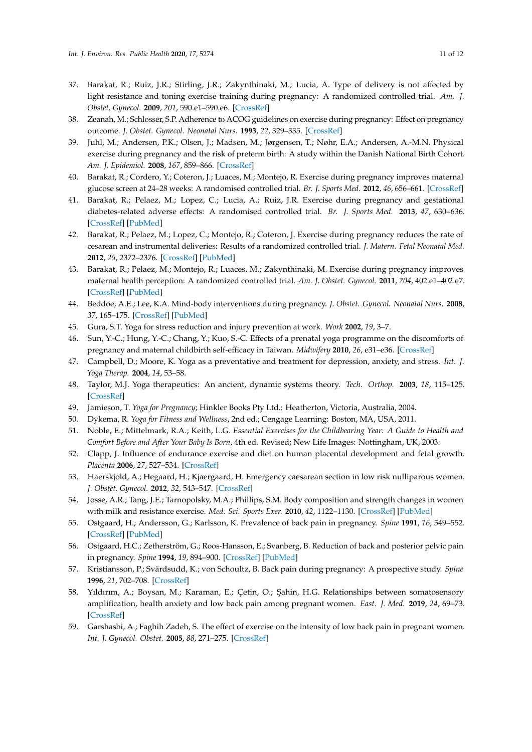- <span id="page-10-0"></span>37. Barakat, R.; Ruiz, J.R.; Stirling, J.R.; Zakynthinaki, M.; Lucia, A. Type of delivery is not affected by light resistance and toning exercise training during pregnancy: A randomized controlled trial. *Am. J. Obstet. Gynecol.* **2009**, *201*, 590.e1–590.e6. [\[CrossRef\]](http://dx.doi.org/10.1016/j.ajog.2009.06.004)
- <span id="page-10-1"></span>38. Zeanah, M.; Schlosser, S.P. Adherence to ACOG guidelines on exercise during pregnancy: Effect on pregnancy outcome. *J. Obstet. Gynecol. Neonatal Nurs.* **1993**, *22*, 329–335. [\[CrossRef\]](http://dx.doi.org/10.1111/j.1552-6909.1993.tb01813.x)
- <span id="page-10-2"></span>39. Juhl, M.; Andersen, P.K.; Olsen, J.; Madsen, M.; Jørgensen, T.; Nøhr, E.A.; Andersen, A.-M.N. Physical exercise during pregnancy and the risk of preterm birth: A study within the Danish National Birth Cohort. *Am. J. Epidemiol.* **2008**, *167*, 859–866. [\[CrossRef\]](http://dx.doi.org/10.1093/aje/kwm364)
- <span id="page-10-3"></span>40. Barakat, R.; Cordero, Y.; Coteron, J.; Luaces, M.; Montejo, R. Exercise during pregnancy improves maternal glucose screen at 24–28 weeks: A randomised controlled trial. *Br. J. Sports Med.* **2012**, *46*, 656–661. [\[CrossRef\]](http://dx.doi.org/10.1136/bjsports-2011-090009)
- 41. Barakat, R.; Pelaez, M.; Lopez, C.; Lucia, A.; Ruiz, J.R. Exercise during pregnancy and gestational diabetes-related adverse effects: A randomised controlled trial. *Br. J. Sports Med.* **2013**, *47*, 630–636. [\[CrossRef\]](http://dx.doi.org/10.1136/bjsports-2012-091788) [\[PubMed\]](http://www.ncbi.nlm.nih.gov/pubmed/23365418)
- 42. Barakat, R.; Pelaez, M.; Lopez, C.; Montejo, R.; Coteron, J. Exercise during pregnancy reduces the rate of cesarean and instrumental deliveries: Results of a randomized controlled trial. *J. Matern. Fetal Neonatal Med.* **2012**, *25*, 2372–2376. [\[CrossRef\]](http://dx.doi.org/10.3109/14767058.2012.696165) [\[PubMed\]](http://www.ncbi.nlm.nih.gov/pubmed/22715981)
- <span id="page-10-4"></span>43. Barakat, R.; Pelaez, M.; Montejo, R.; Luaces, M.; Zakynthinaki, M. Exercise during pregnancy improves maternal health perception: A randomized controlled trial. *Am. J. Obstet. Gynecol.* **2011**, *204*, 402.e1–402.e7. [\[CrossRef\]](http://dx.doi.org/10.1016/j.ajog.2011.01.043) [\[PubMed\]](http://www.ncbi.nlm.nih.gov/pubmed/21354547)
- <span id="page-10-5"></span>44. Beddoe, A.E.; Lee, K.A. Mind-body interventions during pregnancy. *J. Obstet. Gynecol. Neonatal Nurs.* **2008**, *37*, 165–175. [\[CrossRef\]](http://dx.doi.org/10.1111/j.1552-6909.2008.00218.x) [\[PubMed\]](http://www.ncbi.nlm.nih.gov/pubmed/18336440)
- <span id="page-10-6"></span>45. Gura, S.T. Yoga for stress reduction and injury prevention at work. *Work* **2002**, *19*, 3–7.
- <span id="page-10-7"></span>46. Sun, Y.-C.; Hung, Y.-C.; Chang, Y.; Kuo, S.-C. Effects of a prenatal yoga programme on the discomforts of pregnancy and maternal childbirth self-efficacy in Taiwan. *Midwifery* **2010**, *26*, e31–e36. [\[CrossRef\]](http://dx.doi.org/10.1016/j.midw.2009.01.005)
- <span id="page-10-8"></span>47. Campbell, D.; Moore, K. Yoga as a preventative and treatment for depression, anxiety, and stress. *Int. J. Yoga Therap.* **2004**, *14*, 53–58.
- <span id="page-10-9"></span>48. Taylor, M.J. Yoga therapeutics: An ancient, dynamic systems theory. *Tech. Orthop.* **2003**, *18*, 115–125. [\[CrossRef\]](http://dx.doi.org/10.1097/00013611-200303000-00017)
- <span id="page-10-10"></span>49. Jamieson, T. *Yoga for Pregnancy*; Hinkler Books Pty Ltd.: Heatherton, Victoria, Australia, 2004.
- <span id="page-10-11"></span>50. Dykema, R. *Yoga for Fitness and Wellness*, 2nd ed.; Cengage Learning: Boston, MA, USA, 2011.
- <span id="page-10-12"></span>51. Noble, E.; Mittelmark, R.A.; Keith, L.G. *Essential Exercises for the Childbearing Year: A Guide to Health and Comfort Before and After Your Baby Is Born*, 4th ed. Revised; New Life Images: Nottingham, UK, 2003.
- <span id="page-10-13"></span>52. Clapp, J. Influence of endurance exercise and diet on human placental development and fetal growth. *Placenta* **2006**, *27*, 527–534. [\[CrossRef\]](http://dx.doi.org/10.1016/j.placenta.2005.07.010)
- <span id="page-10-14"></span>53. Haerskjold, A.; Hegaard, H.; Kjaergaard, H. Emergency caesarean section in low risk nulliparous women. *J. Obstet. Gynecol.* **2012**, *32*, 543–547. [\[CrossRef\]](http://dx.doi.org/10.3109/01443615.2012.689027)
- <span id="page-10-15"></span>54. Josse, A.R.; Tang, J.E.; Tarnopolsky, M.A.; Phillips, S.M. Body composition and strength changes in women with milk and resistance exercise. *Med. Sci. Sports Exer.* **2010**, *42*, 1122–1130. [\[CrossRef\]](http://dx.doi.org/10.1249/MSS.0b013e3181c854f6) [\[PubMed\]](http://www.ncbi.nlm.nih.gov/pubmed/19997019)
- <span id="page-10-16"></span>55. Ostgaard, H.; Andersson, G.; Karlsson, K. Prevalence of back pain in pregnancy. *Spine* **1991**, *16*, 549–552. [\[CrossRef\]](http://dx.doi.org/10.1097/00007632-199105000-00011) [\[PubMed\]](http://www.ncbi.nlm.nih.gov/pubmed/1828912)
- <span id="page-10-17"></span>56. Ostgaard, H.C.; Zetherström, G.; Roos-Hansson, E.; Svanberg, B. Reduction of back and posterior pelvic pain in pregnancy. *Spine* **1994**, *19*, 894–900. [\[CrossRef\]](http://dx.doi.org/10.1097/00007632-199404150-00005) [\[PubMed\]](http://www.ncbi.nlm.nih.gov/pubmed/8009346)
- <span id="page-10-18"></span>57. Kristiansson, P.; Svärdsudd, K.; von Schoultz, B. Back pain during pregnancy: A prospective study. *Spine* **1996**, *21*, 702–708. [\[CrossRef\]](http://dx.doi.org/10.1097/00007632-199603150-00008)
- <span id="page-10-19"></span>58. Yıldırım, A.; Boysan, M.; Karaman, E.; Çetin, O.; ¸Sahin, H.G. Relationships between somatosensory amplification, health anxiety and low back pain among pregnant women. *East. J. Med.* **2019**, *24*, 69–73. [\[CrossRef\]](http://dx.doi.org/10.5505/ejm.2019.52296)
- <span id="page-10-20"></span>59. Garshasbi, A.; Faghih Zadeh, S. The effect of exercise on the intensity of low back pain in pregnant women. *Int. J. Gynecol. Obstet.* **2005**, *88*, 271–275. [\[CrossRef\]](http://dx.doi.org/10.1016/j.ijgo.2004.12.001)